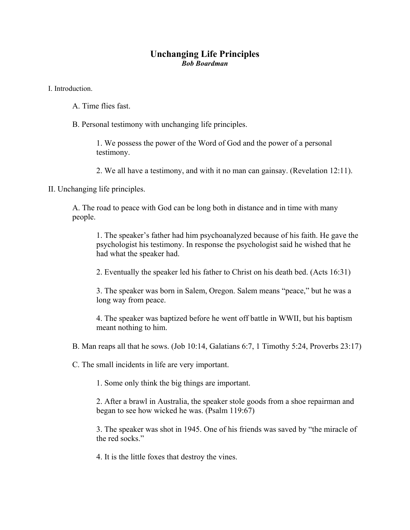## **Unchanging Life Principles**  *Bob Boardman*

I. Introduction.

- A. Time flies fast.
- B. Personal testimony with unchanging life principles.

1. We possess the power of the Word of God and the power of a personal testimony.

2. We all have a testimony, and with it no man can gainsay. (Revelation 12:11).

II. Unchanging life principles.

A. The road to peace with God can be long both in distance and in time with many people.

1. The speaker's father had him psychoanalyzed because of his faith. He gave the psychologist his testimony. In response the psychologist said he wished that he had what the speaker had.

2. Eventually the speaker led his father to Christ on his death bed. (Acts 16:31)

3. The speaker was born in Salem, Oregon. Salem means "peace," but he was a long way from peace.

4. The speaker was baptized before he went off battle in WWII, but his baptism meant nothing to him.

B. Man reaps all that he sows. (Job 10:14, Galatians 6:7, 1 Timothy 5:24, Proverbs 23:17)

C. The small incidents in life are very important.

1. Some only think the big things are important.

2. After a brawl in Australia, the speaker stole goods from a shoe repairman and began to see how wicked he was. (Psalm 119:67)

3. The speaker was shot in 1945. One of his friends was saved by "the miracle of the red socks."

4. It is the little foxes that destroy the vines.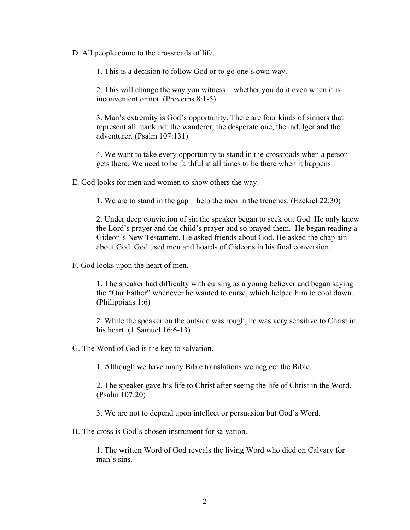D. All people come to the crossroads of life.

1. This is a decision to follow God or to go one's own way.

2. This will change the way you witness—whether you do it even when it is inconvenient or not. (Proverbs 8:1-5)

3. Man's extremity is God's opportunity. There are four kinds of sinners that represent all mankind: the wanderer, the desperate one, the indulger and the adventurer. (Psalm 107:131)

4. We want to take every opportunity to stand in the crossroads when a person gets there. We need to be faithful at all times to be there when it happens.

E. God looks for men and women to show others the way.

1. We are to stand in the gap—help the men in the trenches. (Ezekiel 22:30)

2. Under deep conviction of sin the speaker began to seek out God. He only knew the Lord's prayer and the child's prayer and so prayed them. He began reading a Gideon's New Testament. He asked friends about God. He asked the chaplain about God. God used men and hoards of Gideons in his final conversion.

F. God looks upon the heart of men.

1. The speaker had difficulty with cursing as a young believer and began saying the "Our Father" whenever he wanted to curse, which helped him to cool down. (Philippians 1:6)

2. While the speaker on the outside was rough, he was very sensitive to Christ in his heart. (1 Samuel 16:6-13)

G. The Word of God is the key to salvation.

1. Although we have many Bible translations we neglect the Bible.

2. The speaker gave his life to Christ after seeing the life of Christ in the Word. (Psalm 107:20)

3. We are not to depend upon intellect or persuasion but God's Word.

H. The cross is God's chosen instrument for salvation.

1. The written Word of God reveals the living Word who died on Calvary for man's sins.